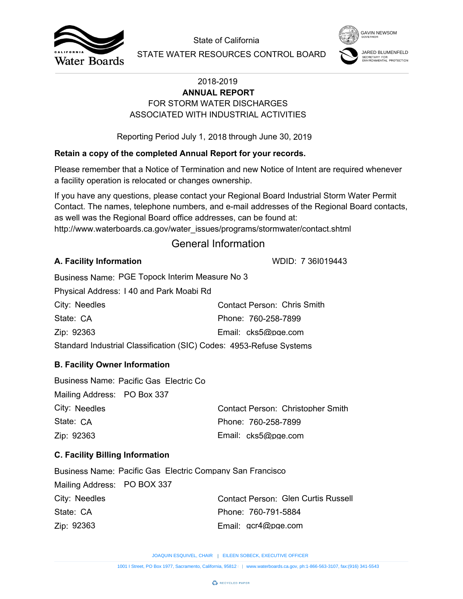



# FOR STORM WATER DISCHARGES **ANNUAL REPORT** ASSOCIATED WITH INDUSTRIAL ACTIVITIES

## **Retain a copy of the completed Annual Report for your records.**

## General Information

## **A. Facility Information**

| City: Needles                                                       | Contact Person: Chris Smith |  |  |  |
|---------------------------------------------------------------------|-----------------------------|--|--|--|
| State: CA                                                           | Phone: 760-258-7899         |  |  |  |
| Zip: 92363                                                          | Email: cks5@pge.com         |  |  |  |
| Standard Industrial Classification (SIC) Codes: 4953-Refuse Systems |                             |  |  |  |

## **B. Facility Owner Information**

|                                        |                                                                   | State of California                                                                                                                                                                                                                                                        | <b>GAVIN NEWSOM</b>                             |
|----------------------------------------|-------------------------------------------------------------------|----------------------------------------------------------------------------------------------------------------------------------------------------------------------------------------------------------------------------------------------------------------------------|-------------------------------------------------|
| Water Boards                           |                                                                   | STATE WATER RESOURCES CONTROL BOARD                                                                                                                                                                                                                                        | SECRETARY FOR<br><b>NVIRONMENTAL PROTECTION</b> |
|                                        |                                                                   | 2018-2019<br><b>ANNUAL REPORT</b>                                                                                                                                                                                                                                          |                                                 |
|                                        |                                                                   | FOR STORM WATER DISCHARGES                                                                                                                                                                                                                                                 |                                                 |
|                                        |                                                                   | ASSOCIATED WITH INDUSTRIAL ACTIVITIES                                                                                                                                                                                                                                      |                                                 |
|                                        |                                                                   | Reporting Period July 1, 2018 through June 30, 2019                                                                                                                                                                                                                        |                                                 |
|                                        |                                                                   | Retain a copy of the completed Annual Report for your records.                                                                                                                                                                                                             |                                                 |
|                                        | a facility operation is relocated or changes ownership.           | Please remember that a Notice of Termination and new Notice of Intent are required whenever                                                                                                                                                                                |                                                 |
|                                        | as well was the Regional Board office addresses, can be found at: | If you have any questions, please contact your Regional Board Industrial Storm Water Permit<br>Contact. The names, telephone numbers, and e-mail addresses of the Regional Board contacts,<br>http://www.waterboards.ca.gov/water_issues/programs/stormwater/contact.shtml |                                                 |
|                                        |                                                                   | <b>General Information</b>                                                                                                                                                                                                                                                 |                                                 |
| A. Facility Information                |                                                                   | WDID: 7 361019443                                                                                                                                                                                                                                                          |                                                 |
|                                        | Business Name: PGE Topock Interim Measure No 3                    |                                                                                                                                                                                                                                                                            |                                                 |
|                                        | Physical Address: 140 and Park Moabi Rd                           |                                                                                                                                                                                                                                                                            |                                                 |
| City: Needles                          |                                                                   | <b>Contact Person: Chris Smith</b>                                                                                                                                                                                                                                         |                                                 |
| State: CA                              |                                                                   | Phone: 760-258-7899                                                                                                                                                                                                                                                        |                                                 |
| Zip: 92363                             |                                                                   | Email: cks5@pge.com                                                                                                                                                                                                                                                        |                                                 |
|                                        |                                                                   | Standard Industrial Classification (SIC) Codes: 4953-Refuse Systems                                                                                                                                                                                                        |                                                 |
| <b>B. Facility Owner Information</b>   |                                                                   |                                                                                                                                                                                                                                                                            |                                                 |
| Mailing Address: PO Box 337            | Business Name: Pacific Gas Electric Co                            |                                                                                                                                                                                                                                                                            |                                                 |
| City: Needles                          |                                                                   | Contact Person: Christopher Smith                                                                                                                                                                                                                                          |                                                 |
| State: CA                              |                                                                   | Phone: 760-258-7899                                                                                                                                                                                                                                                        |                                                 |
| Zip: 92363                             |                                                                   | Email: cks5@pge.com                                                                                                                                                                                                                                                        |                                                 |
| <b>C. Facility Billing Information</b> |                                                                   |                                                                                                                                                                                                                                                                            |                                                 |
|                                        | <b>Business Name: Pacific Gas Electric Company San Francisco</b>  |                                                                                                                                                                                                                                                                            |                                                 |
| Mailing Address: PO BOX 337            |                                                                   |                                                                                                                                                                                                                                                                            |                                                 |
| City: Needles                          |                                                                   | <b>Contact Person: Glen Curtis Russell</b>                                                                                                                                                                                                                                 |                                                 |
| State: CA                              |                                                                   | Phone: 760-791-5884                                                                                                                                                                                                                                                        |                                                 |
| Zip: 92363                             |                                                                   | Email: gcr4@pge.com                                                                                                                                                                                                                                                        |                                                 |
|                                        |                                                                   | JOAQUIN ESQUIVEL, CHAIR   EILEEN SOBECK, EXECUTIVE OFFICER                                                                                                                                                                                                                 |                                                 |
|                                        |                                                                   | 1001   Street, PO Box 1977, Sacramento, California, 95812     www.waterboards.ca.gov, ph:1-866-563-3107, fax:(916) 341-5543                                                                                                                                                |                                                 |

## **C. Facility Billing Information**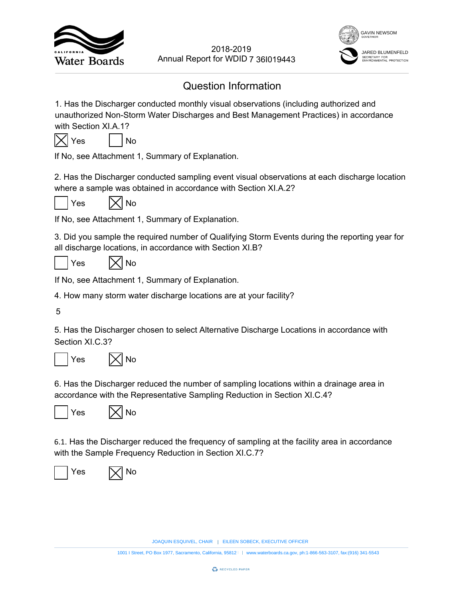



# Question Information

1. Has the Discharger conducted monthly visual observations (including authorized and unauthorized Non-Storm Water Discharges and Best Management Practices) in accordance with Section XI.A.1? EVERT YOUTHERN SOBECTS AND MOTHERN SOMETHED WORD 7 361019443<br>
Information<br>
and best Management Practices) in accordance<br>
tion.<br>
EILEN Management Practices) in accordance<br>
tion.<br>
with Section XI.A.2?<br>
tion.<br>
and Management 2018-2019<br>
18<br>
18<br>
18<br>
18<br>
18<br>
2018-2019<br>
2019-2019<br>
2019-2019<br>
2019-2019<br>
2019-2019<br>
2019-2019<br>
2019-2019<br>
2019-11, Summary of Explanation.<br>
2019-11, Summary of Explanation.<br>
2020-11, Summary of Explanation.<br>
2020-12, Al



If No, see Attachment 1, Summary of Explanation.

2. Has the Discharger conducted sampling event visual observations at each discharge location where a sample was obtained in accordance with Section XI.A.2?



 $Yes$   $|\times|$  No

If No, see Attachment 1, Summary of Explanation.

3. Did you sample the required number of Qualifying Storm Events during the reporting year for all discharge locations, in accordance with Section XI.B?

 $Yes$   $|\times|$  No

If No, see Attachment 1, Summary of Explanation.

4. How many storm water discharge locations are at your facility?

5

5. Has the Discharger chosen to select Alternative Discharge Locations in accordance with Section XI.C.3?





6. Has the Discharger reduced the number of sampling locations within a drainage area in accordance with the Representative Sampling Reduction in Section XI.C.4?





6.1. Has the Discharger reduced the frequency of sampling at the facility area in accordance with the Sample Frequency Reduction in Section XI.C.7?



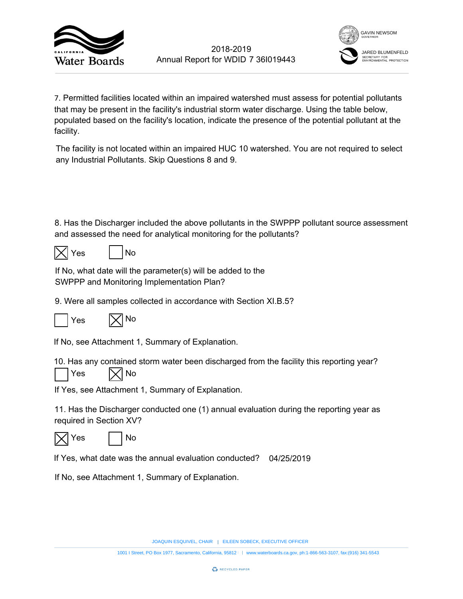



7. Permitted facilities located within an impaired watershed must assess for potential pollutants that may be present in the facility's industrial storm water discharge. Using the table below, populated based on the facility's location, indicate the presence of the potential pollutant at the facility. 7 36l019443<br>
rshed must asse<br>
eter discharge. U<br>
presence of the<br>
watershed. You<br>
n the SWPPP pc<br>
ne pollutants?<br>
b the<br>
tion XI.B.5?<br>
aluation during th<br>
d? 04/25/2019 2018-2019<br>
1001 Is Annual Report for WDID 7 361019443<br>
1001 Is conceded within an impaired watershed must assess for potential pollutants<br>
anti-<br>
and the final metallity's industrial stom water discharge. Using the table h

The facility is not located within an impaired HUC 10 watershed. You are not required to select any Industrial Pollutants. Skip Questions 8 and 9.

8. Has the Discharger included the above pollutants in the SWPPP pollutant source assessment and assessed the need for analytical monitoring for the pollutants?

|--|

| ≏ |  | N٥ |
|---|--|----|
|---|--|----|

If No, what date will the parameter(s) will be added to the SWPPP and Monitoring Implementation Plan?

9. Were all samples collected in accordance with Section XI.B.5?



If No, see Attachment 1, Summary of Explanation.

10. Has any contained storm water been discharged from the facility this reporting year?





If Yes, see Attachment 1, Summary of Explanation.

11. Has the Discharger conducted one (1) annual evaluation during the reporting year as required in Section XV?





If Yes, what date was the annual evaluation conducted? 04/25/2019

If No, see Attachment 1, Summary of Explanation.

JOAQUIN ESQUIVEL, CHAIR | EILEEN SOBECK, EXECUTIVE OFFICER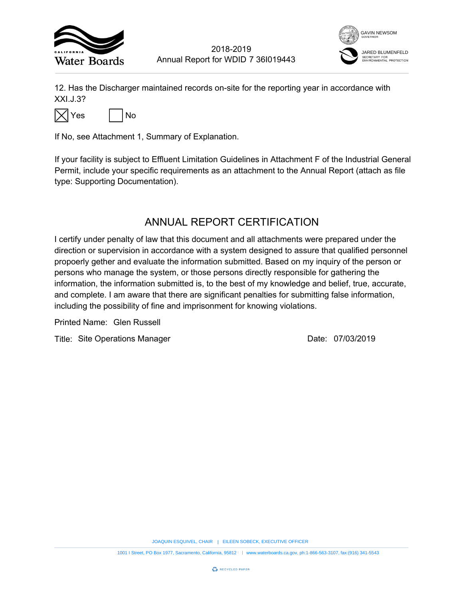



12. Has the Discharger maintained records on-site for the reporting year in accordance with XXI.J.3?



If No, see Attachment 1, Summary of Explanation.

If your facility is subject to Effluent Limitation Guidelines in Attachment F of the Industrial General Permit, include your specific requirements as an attachment to the Annual Report (attach as file type: Supporting Documentation).

## ANNUAL REPORT CERTIFICATION

I certify under penalty of law that this document and all attachments were prepared under the direction or supervision in accordance with a system designed to assure that qualified personnel propoerly gether and evaluate the information submitted. Based on my inquiry of the person or persons who manage the system, or those persons directly responsible for gathering the information, the information submitted is, to the best of my knowledge and belief, true, accurate, and complete. I am aware that there are significant penalties for submitting false information, including the possibility of fine and imprisonment for knowing violations. 7 36I019443<br>
The reporting year in accordance<br>
the reporting year in accordance<br>
the reporting of the Industria<br>
ERTIFICATION<br>
Ill attachments were prepared und<br>
designed to assure that qualified p<br>
the pirectly responsibl EXECUTIVE THE SURFACT CONDIDENT TO THE SURFACT THE SURFACT CONDIDENT TO THE SURFACT THE SURFACT THE SURFACT OF THE SURFACT OF THE SURFACT OF THE SURFACT CONDIDENT TO THE SURFACT OF DOCUMENTAL DRIVING THE DURING DRIVER THE 1001 I Street, PORT CHAIR STREET, PORT CHAIR STREET, PORT CHAIR STREET, PORT CHAIR STREET, PORT CHAIR STREET, PORT CONSIDERED, INCREDIBY THE STREET CALIFORNIA, THE CHAIR STREET CALIFORNIA, THE CHAIR STREET CALIFORNIA, FAIL

Printed Name:

Title: Site Operations Manager **Container Strutter Container 1** Date: 07/03/2019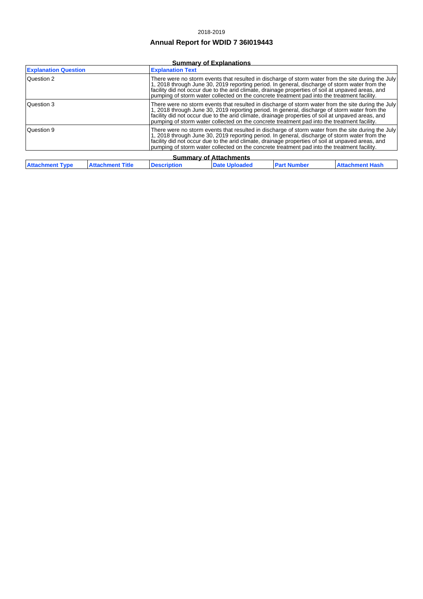#### 2018-2019

## **Annual Report for WDID 7 36I019443**

### **Summary of Explanations**

| <b>Explanation Question</b>   | <b>Explanation Text</b>                                                                                                                                                                                                                                                                                                                                                                                 |  |  |  |
|-------------------------------|---------------------------------------------------------------------------------------------------------------------------------------------------------------------------------------------------------------------------------------------------------------------------------------------------------------------------------------------------------------------------------------------------------|--|--|--|
| Question 2                    | There were no storm events that resulted in discharge of storm water from the site during the July<br>1, 2018 through June 30, 2019 reporting period. In general, discharge of storm water from the<br>facility did not occur due to the arid climate, drainage properties of soil at unpaved areas, and<br>pumping of storm water collected on the concrete treatment pad into the treatment facility. |  |  |  |
| Question 3                    | There were no storm events that resulted in discharge of storm water from the site during the July<br>1, 2018 through June 30, 2019 reporting period. In general, discharge of storm water from the<br>facility did not occur due to the arid climate, drainage properties of soil at unpaved areas, and<br>pumping of storm water collected on the concrete treatment pad into the treatment facility. |  |  |  |
| Question 9                    | There were no storm events that resulted in discharge of storm water from the site during the July<br>1, 2018 through June 30, 2019 reporting period. In general, discharge of storm water from the<br>facility did not occur due to the arid climate, drainage properties of soil at unpaved areas, and<br>pumping of storm water collected on the concrete treatment pad into the treatment facility. |  |  |  |
| <b>Summary of Attachments</b> |                                                                                                                                                                                                                                                                                                                                                                                                         |  |  |  |

| Summary of Attachments                            |                    |  |               |  |                   |
|---------------------------------------------------|--------------------|--|---------------|--|-------------------|
| <b>Attachment Type</b><br><b>Attachment Title</b> | <b>Description</b> |  | Date Unloaded |  | l Attachment Hash |